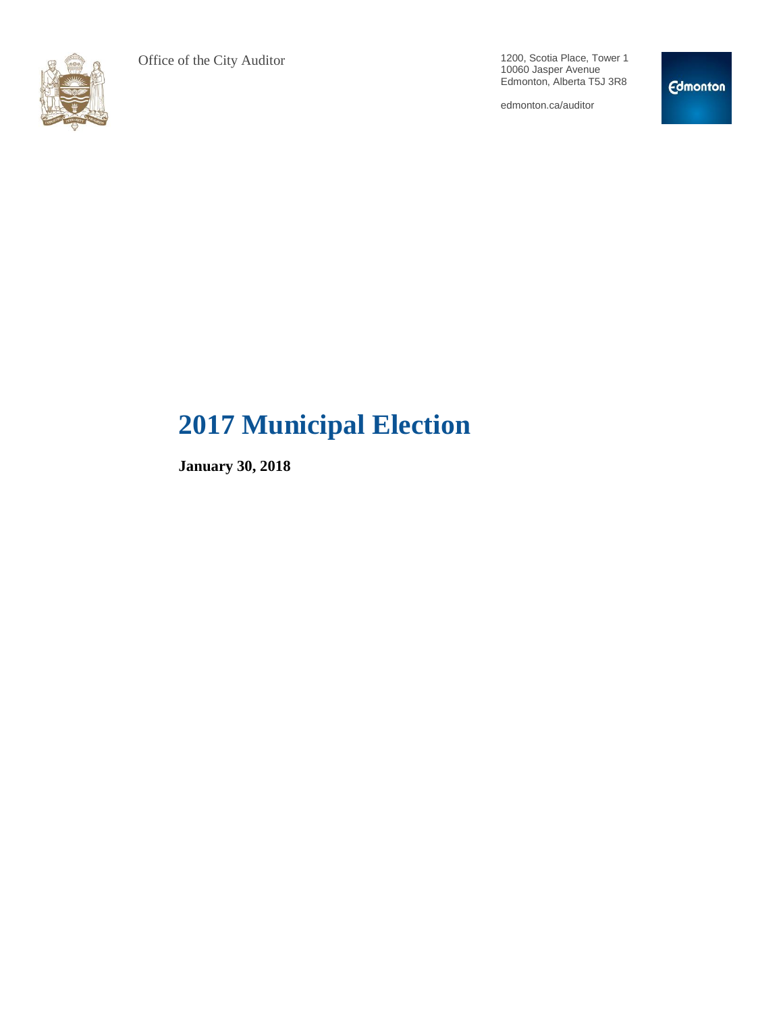Office of the City Auditor 1200, Scotia Place, Tower 1

**2017 Municipal Election**

**January 30, 2018**



10060 Jasper Avenue Edmonton, Alberta T5J 3R8

**Edmonton** 

edmonton.ca/auditor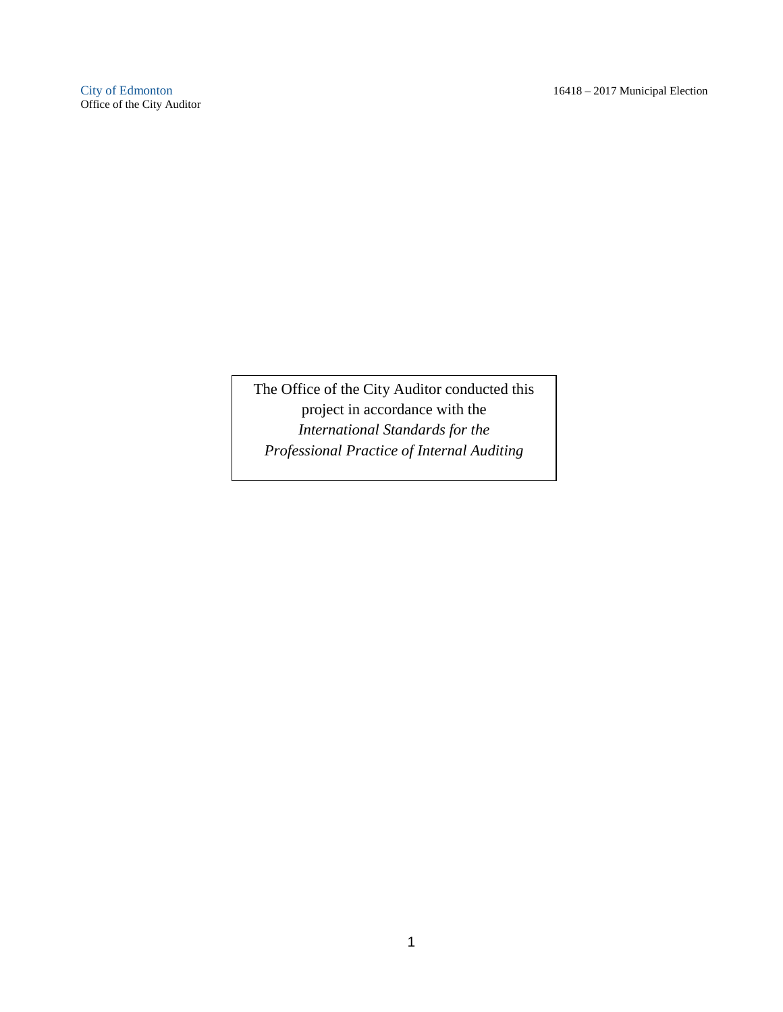The Office of the City Auditor conducted this project in accordance with the *International Standards for the Professional Practice of Internal Auditing*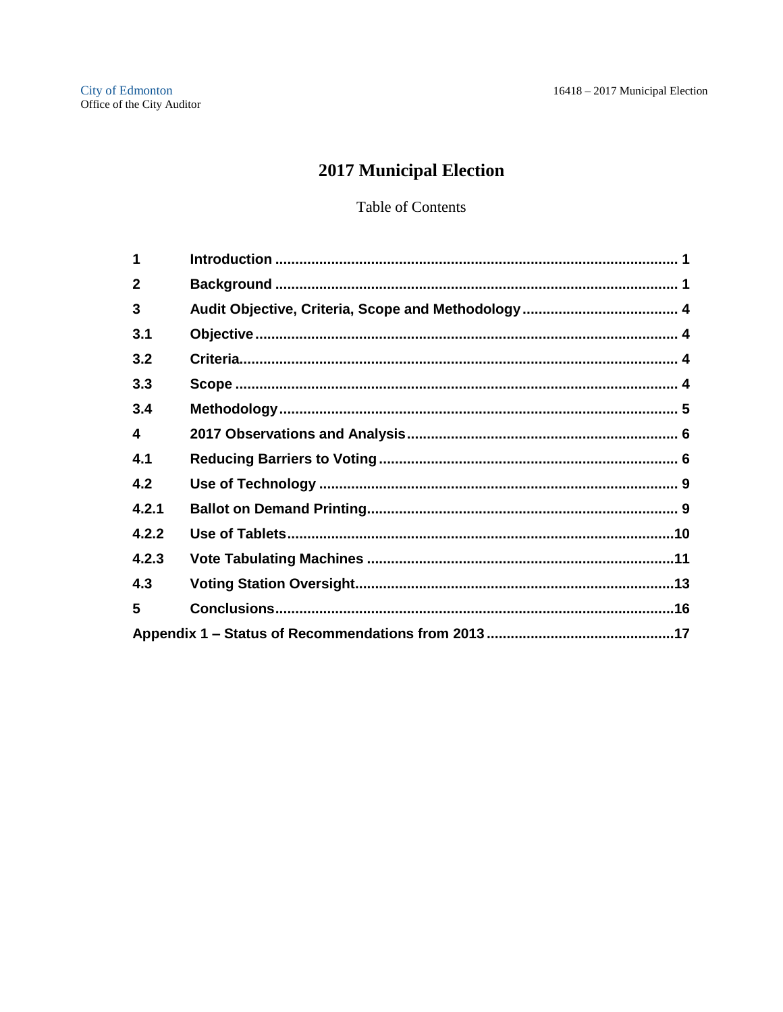# **2017 Municipal Election**

Table of Contents

| $\mathbf 1$  |  |
|--------------|--|
| $\mathbf{2}$ |  |
| 3            |  |
| 3.1          |  |
| 3.2          |  |
| 3.3          |  |
| 3.4          |  |
| 4            |  |
| 4.1          |  |
| 4.2          |  |
| 4.2.1        |  |
| 4.2.2        |  |
| 4.2.3        |  |
| 4.3          |  |
| 5            |  |
|              |  |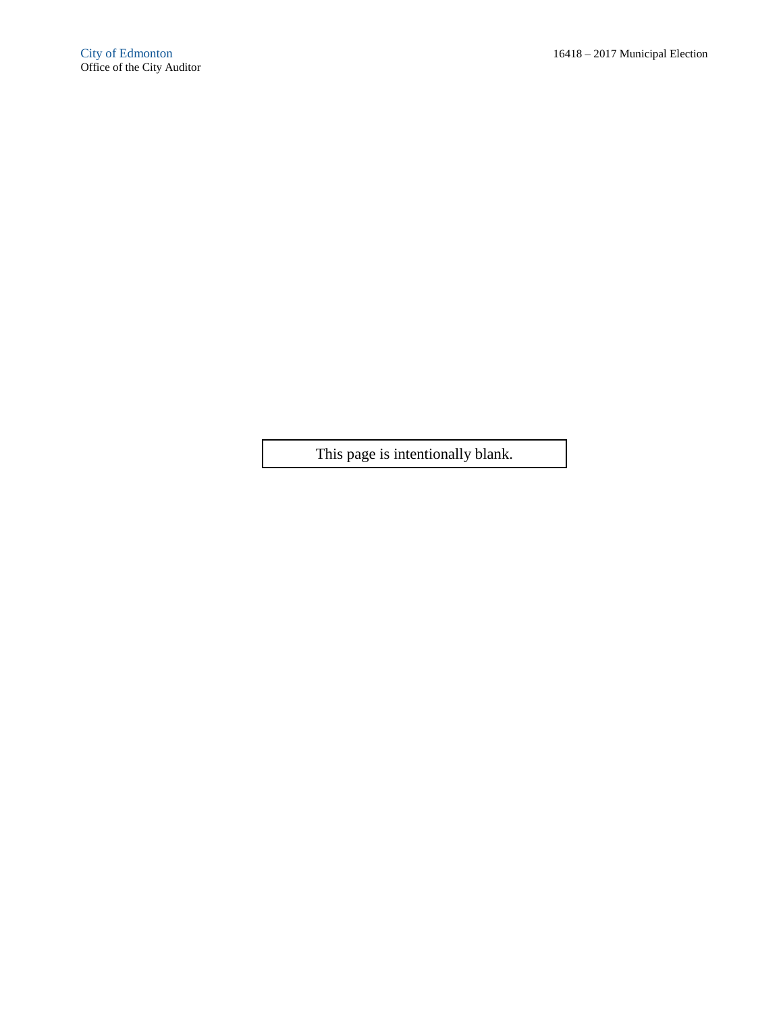This page is intentionally blank.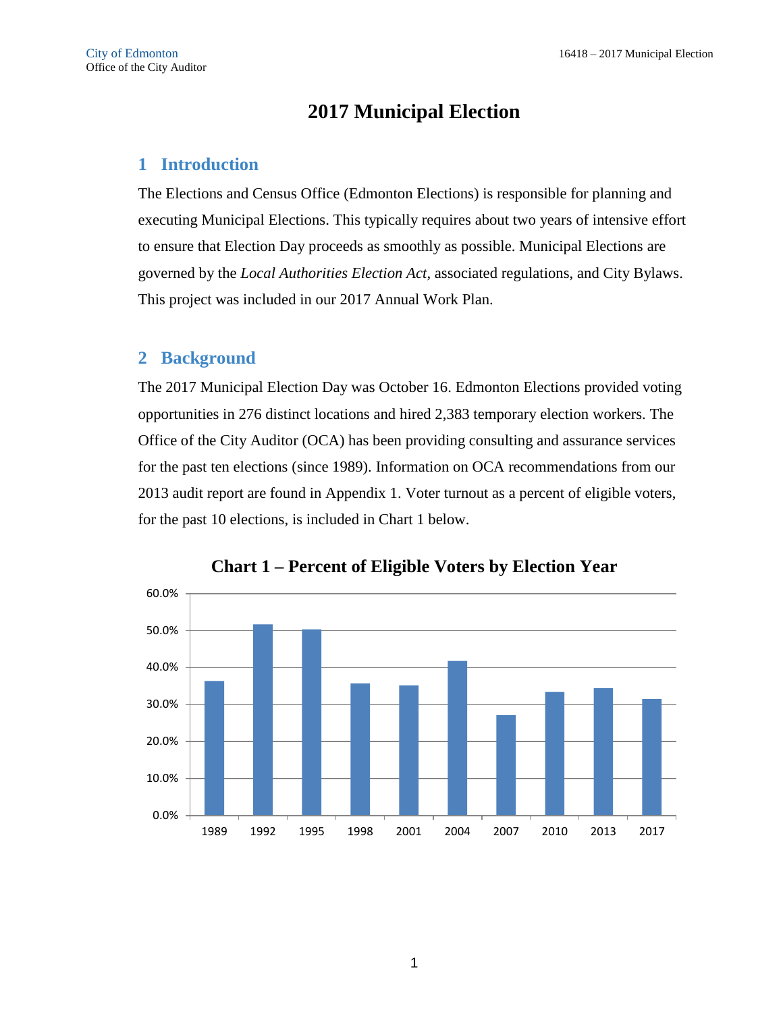# **2017 Municipal Election**

# <span id="page-4-0"></span>**1 Introduction**

The Elections and Census Office (Edmonton Elections) is responsible for planning and executing Municipal Elections. This typically requires about two years of intensive effort to ensure that Election Day proceeds as smoothly as possible. Municipal Elections are governed by the *Local Authorities Election Act*, associated regulations, and City Bylaws. This project was included in our 2017 Annual Work Plan.

## <span id="page-4-1"></span>**2 Background**

The 2017 Municipal Election Day was October 16. Edmonton Elections provided voting opportunities in 276 distinct locations and hired 2,383 temporary election workers. The Office of the City Auditor (OCA) has been providing consulting and assurance services for the past ten elections (since 1989). Information on OCA recommendations from our 2013 audit report are found in Appendix 1. Voter turnout as a percent of eligible voters, for the past 10 elections, is included in Chart 1 below.



**Chart 1 – Percent of Eligible Voters by Election Year**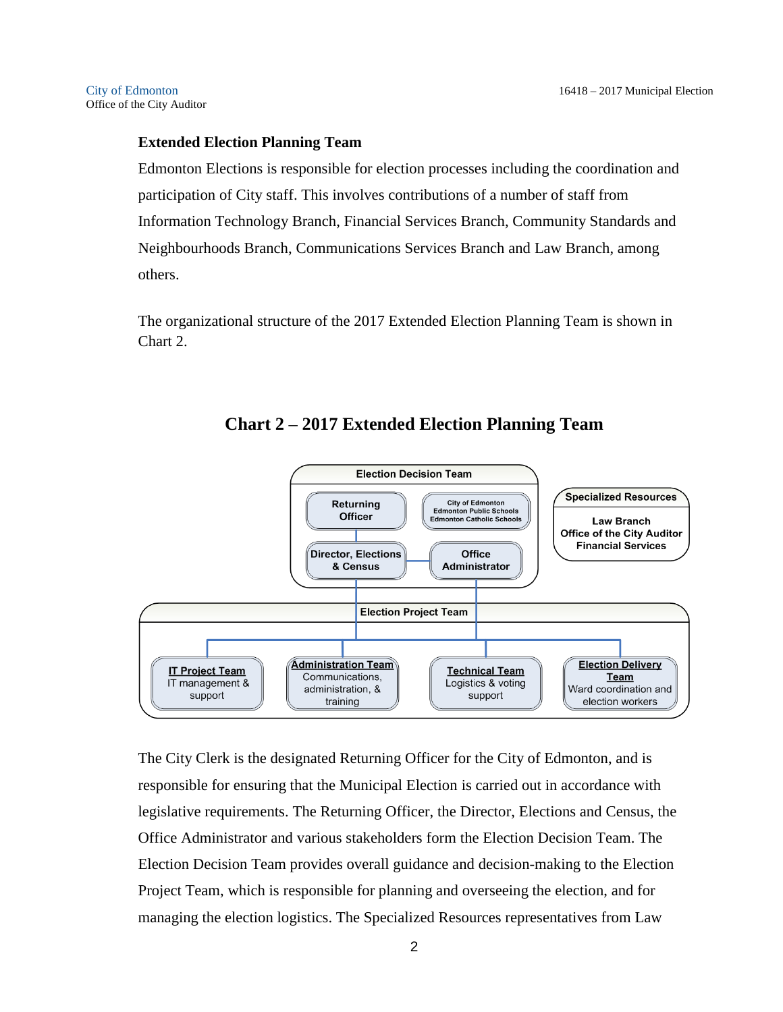#### **Extended Election Planning Team**

Edmonton Elections is responsible for election processes including the coordination and participation of City staff. This involves contributions of a number of staff from Information Technology Branch, Financial Services Branch, Community Standards and Neighbourhoods Branch, Communications Services Branch and Law Branch, among others.

The organizational structure of the 2017 Extended Election Planning Team is shown in Chart 2.



**Chart 2 – 2017 Extended Election Planning Team**

The City Clerk is the designated Returning Officer for the City of Edmonton, and is responsible for ensuring that the Municipal Election is carried out in accordance with legislative requirements. The Returning Officer, the Director, Elections and Census, the Office Administrator and various stakeholders form the Election Decision Team. The Election Decision Team provides overall guidance and decision-making to the Election Project Team, which is responsible for planning and overseeing the election, and for managing the election logistics. The Specialized Resources representatives from Law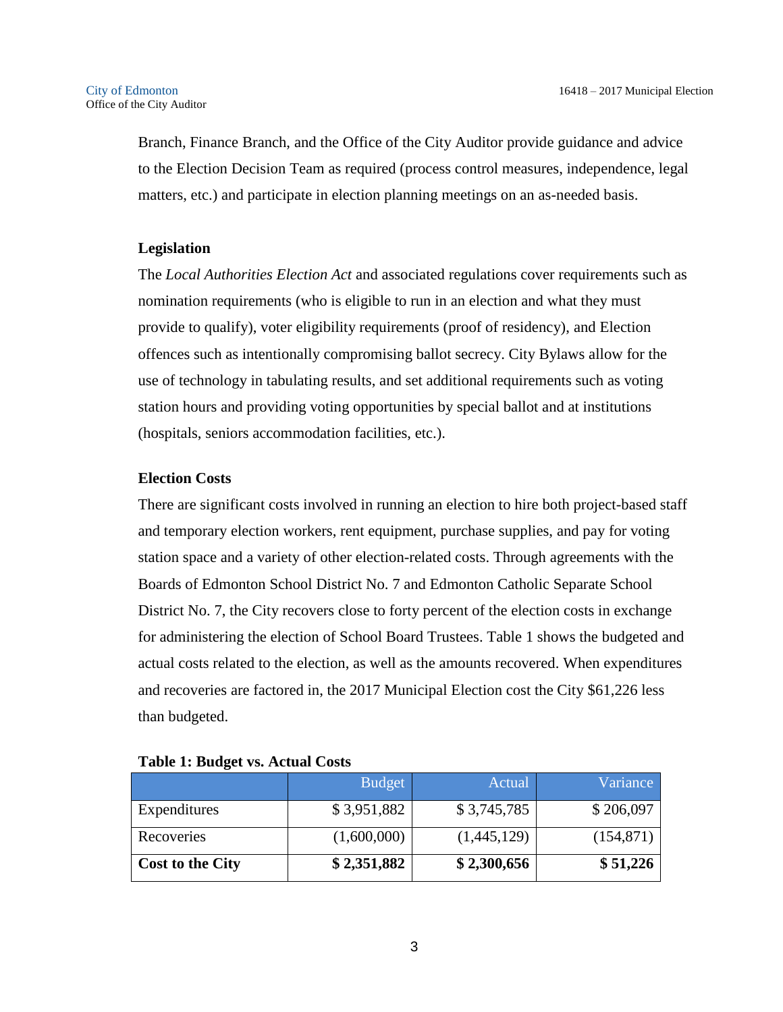Branch, Finance Branch, and the Office of the City Auditor provide guidance and advice to the Election Decision Team as required (process control measures, independence, legal matters, etc.) and participate in election planning meetings on an as-needed basis.

#### **Legislation**

The *Local Authorities Election Act* and associated regulations cover requirements such as nomination requirements (who is eligible to run in an election and what they must provide to qualify), voter eligibility requirements (proof of residency), and Election offences such as intentionally compromising ballot secrecy. City Bylaws allow for the use of technology in tabulating results, and set additional requirements such as voting station hours and providing voting opportunities by special ballot and at institutions (hospitals, seniors accommodation facilities, etc.).

### **Election Costs**

There are significant costs involved in running an election to hire both project-based staff and temporary election workers, rent equipment, purchase supplies, and pay for voting station space and a variety of other election-related costs. Through agreements with the Boards of Edmonton School District No. 7 and Edmonton Catholic Separate School District No. 7, the City recovers close to forty percent of the election costs in exchange for administering the election of School Board Trustees. Table 1 shows the budgeted and actual costs related to the election, as well as the amounts recovered. When expenditures and recoveries are factored in, the 2017 Municipal Election cost the City \$61,226 less than budgeted.

|                  | <b>Budget</b> | Actual      | Variance   |
|------------------|---------------|-------------|------------|
| Expenditures     | \$3,951,882   | \$3,745,785 | \$206,097  |
| Recoveries       | (1,600,000)   | (1,445,129) | (154, 871) |
| Cost to the City | \$2,351,882   | \$2,300,656 | \$51,226   |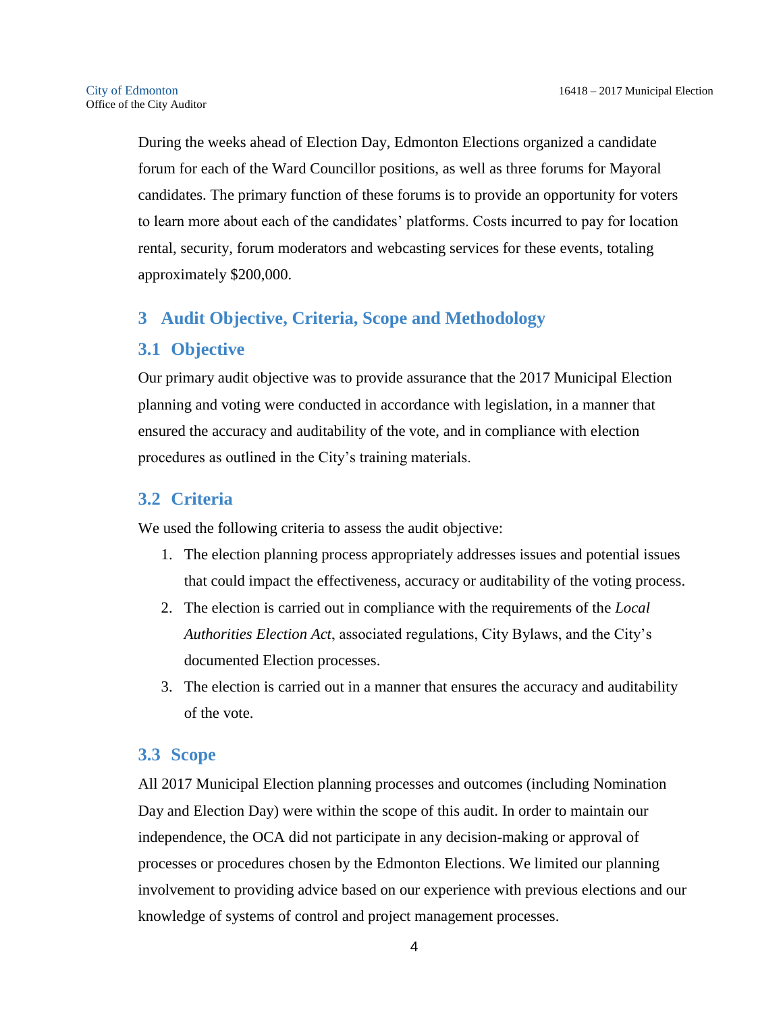During the weeks ahead of Election Day, Edmonton Elections organized a candidate forum for each of the Ward Councillor positions, as well as three forums for Mayoral candidates. The primary function of these forums is to provide an opportunity for voters to learn more about each of the candidates' platforms. Costs incurred to pay for location rental, security, forum moderators and webcasting services for these events, totaling approximately \$200,000.

## <span id="page-7-0"></span>**3 Audit Objective, Criteria, Scope and Methodology**

### <span id="page-7-1"></span>**3.1 Objective**

Our primary audit objective was to provide assurance that the 2017 Municipal Election planning and voting were conducted in accordance with legislation, in a manner that ensured the accuracy and auditability of the vote, and in compliance with election procedures as outlined in the City's training materials.

### <span id="page-7-2"></span>**3.2 Criteria**

We used the following criteria to assess the audit objective:

- 1. The election planning process appropriately addresses issues and potential issues that could impact the effectiveness, accuracy or auditability of the voting process.
- 2. The election is carried out in compliance with the requirements of the *Local Authorities Election Act*, associated regulations, City Bylaws, and the City's documented Election processes.
- 3. The election is carried out in a manner that ensures the accuracy and auditability of the vote.

### <span id="page-7-3"></span>**3.3 Scope**

All 2017 Municipal Election planning processes and outcomes (including Nomination Day and Election Day) were within the scope of this audit. In order to maintain our independence, the OCA did not participate in any decision-making or approval of processes or procedures chosen by the Edmonton Elections. We limited our planning involvement to providing advice based on our experience with previous elections and our knowledge of systems of control and project management processes.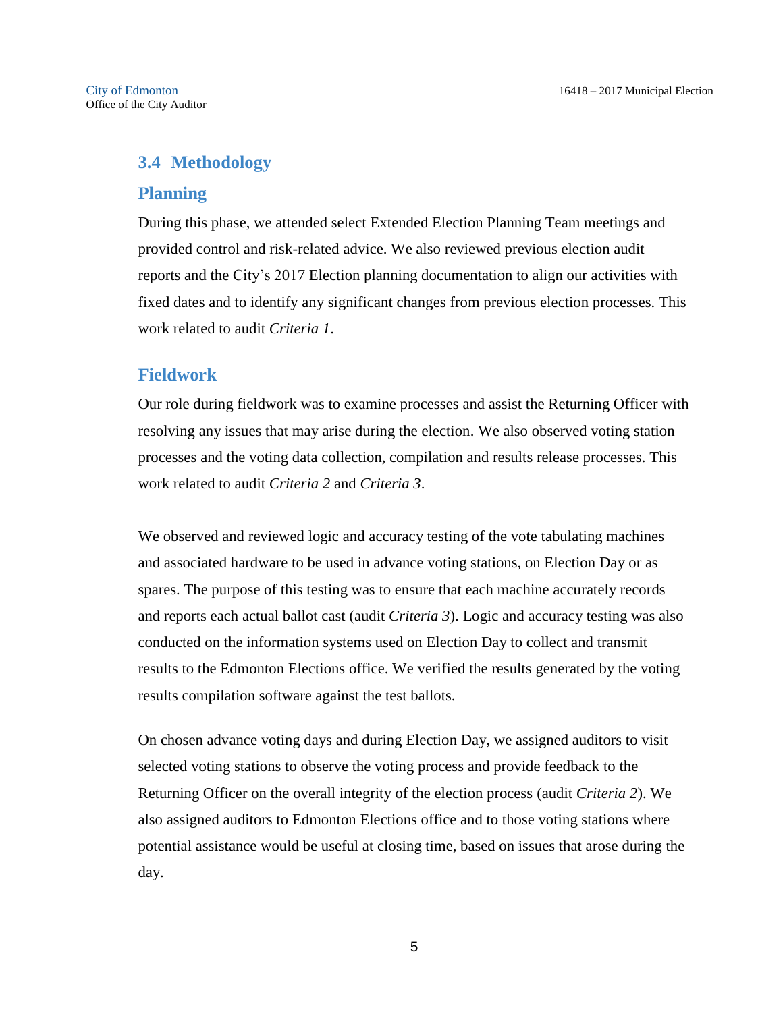### <span id="page-8-0"></span>**3.4 Methodology**

### **Planning**

During this phase, we attended select Extended Election Planning Team meetings and provided control and risk-related advice. We also reviewed previous election audit reports and the City's 2017 Election planning documentation to align our activities with fixed dates and to identify any significant changes from previous election processes. This work related to audit *Criteria 1*.

### **Fieldwork**

Our role during fieldwork was to examine processes and assist the Returning Officer with resolving any issues that may arise during the election. We also observed voting station processes and the voting data collection, compilation and results release processes. This work related to audit *Criteria 2* and *Criteria 3*.

We observed and reviewed logic and accuracy testing of the vote tabulating machines and associated hardware to be used in advance voting stations, on Election Day or as spares. The purpose of this testing was to ensure that each machine accurately records and reports each actual ballot cast (audit *Criteria 3*). Logic and accuracy testing was also conducted on the information systems used on Election Day to collect and transmit results to the Edmonton Elections office. We verified the results generated by the voting results compilation software against the test ballots.

On chosen advance voting days and during Election Day, we assigned auditors to visit selected voting stations to observe the voting process and provide feedback to the Returning Officer on the overall integrity of the election process (audit *Criteria 2*). We also assigned auditors to Edmonton Elections office and to those voting stations where potential assistance would be useful at closing time, based on issues that arose during the day.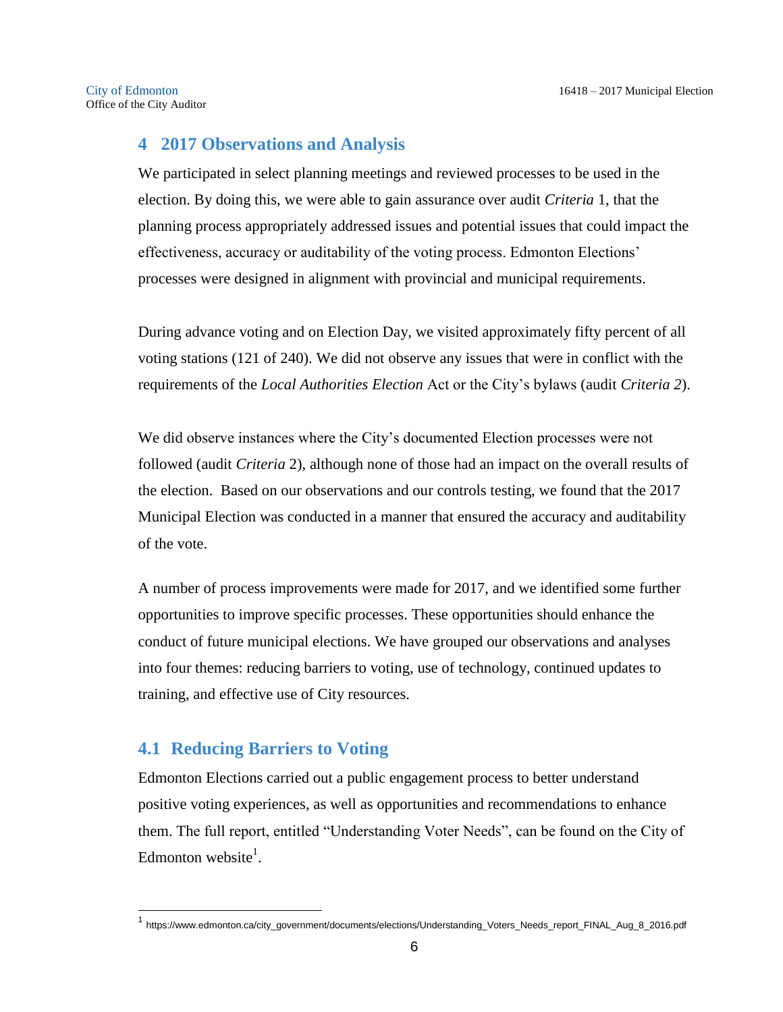# <span id="page-9-0"></span>**4 2017 Observations and Analysis**

We participated in select planning meetings and reviewed processes to be used in the election. By doing this, we were able to gain assurance over audit *Criteria* 1, that the planning process appropriately addressed issues and potential issues that could impact the effectiveness, accuracy or auditability of the voting process. Edmonton Elections' processes were designed in alignment with provincial and municipal requirements.

During advance voting and on Election Day, we visited approximately fifty percent of all voting stations (121 of 240). We did not observe any issues that were in conflict with the requirements of the *Local Authorities Election* Act or the City's bylaws (audit *Criteria 2*).

We did observe instances where the City's documented Election processes were not followed (audit *Criteria* 2), although none of those had an impact on the overall results of the election. Based on our observations and our controls testing, we found that the 2017 Municipal Election was conducted in a manner that ensured the accuracy and auditability of the vote.

A number of process improvements were made for 2017, and we identified some further opportunities to improve specific processes. These opportunities should enhance the conduct of future municipal elections. We have grouped our observations and analyses into four themes: reducing barriers to voting, use of technology, continued updates to training, and effective use of City resources.

# <span id="page-9-1"></span>**4.1 Reducing Barriers to Voting**

Edmonton Elections carried out a public engagement process to better understand positive voting experiences, as well as opportunities and recommendations to enhance them. The full report, entitled "Understanding Voter Needs", can be found on the City of Edmonton website<sup>1</sup>.

 1 https://www.edmonton.ca/city\_government/documents/elections/Understanding\_Voters\_Needs\_report\_FINAL\_Aug\_8\_2016.pdf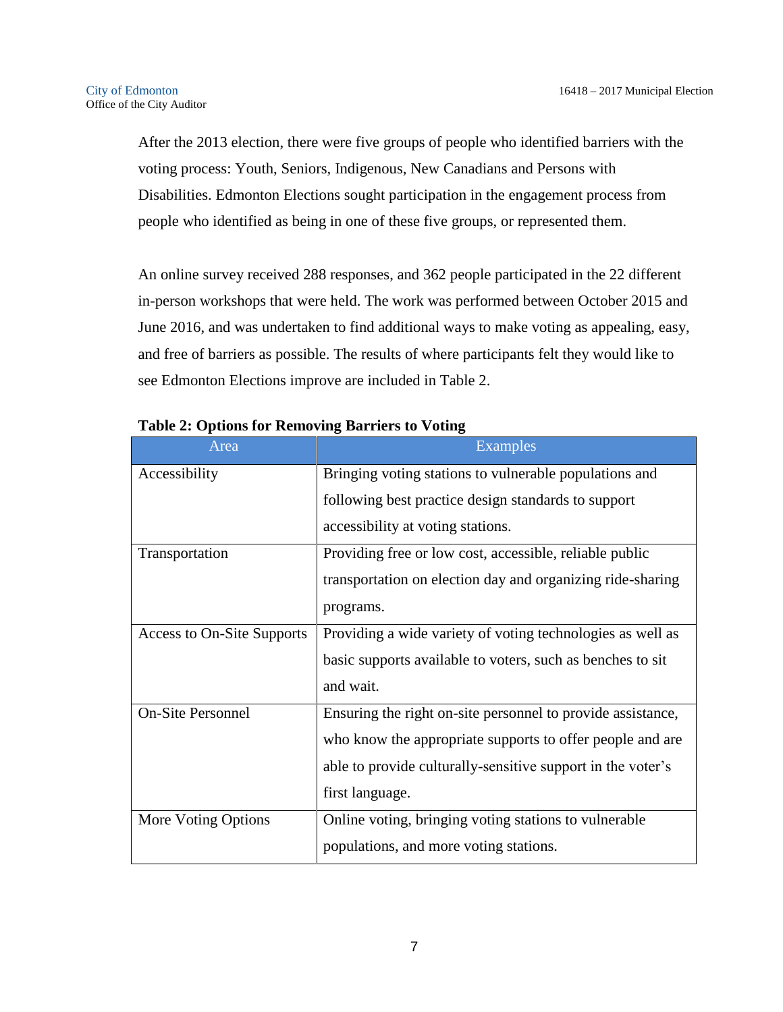After the 2013 election, there were five groups of people who identified barriers with the voting process: Youth, Seniors, Indigenous, New Canadians and Persons with Disabilities. Edmonton Elections sought participation in the engagement process from people who identified as being in one of these five groups, or represented them.

An online survey received 288 responses, and 362 people participated in the 22 different in-person workshops that were held. The work was performed between October 2015 and June 2016, and was undertaken to find additional ways to make voting as appealing, easy, and free of barriers as possible. The results of where participants felt they would like to see Edmonton Elections improve are included in Table 2.

| Area                              | <b>Examples</b>                                             |  |
|-----------------------------------|-------------------------------------------------------------|--|
| Accessibility                     | Bringing voting stations to vulnerable populations and      |  |
|                                   | following best practice design standards to support         |  |
|                                   | accessibility at voting stations.                           |  |
| Transportation                    | Providing free or low cost, accessible, reliable public     |  |
|                                   | transportation on election day and organizing ride-sharing  |  |
|                                   | programs.                                                   |  |
| <b>Access to On-Site Supports</b> | Providing a wide variety of voting technologies as well as  |  |
|                                   | basic supports available to voters, such as benches to sit  |  |
|                                   | and wait.                                                   |  |
| <b>On-Site Personnel</b>          | Ensuring the right on-site personnel to provide assistance, |  |
|                                   | who know the appropriate supports to offer people and are   |  |
|                                   | able to provide culturally-sensitive support in the voter's |  |
|                                   | first language.                                             |  |
| More Voting Options               | Online voting, bringing voting stations to vulnerable       |  |
|                                   | populations, and more voting stations.                      |  |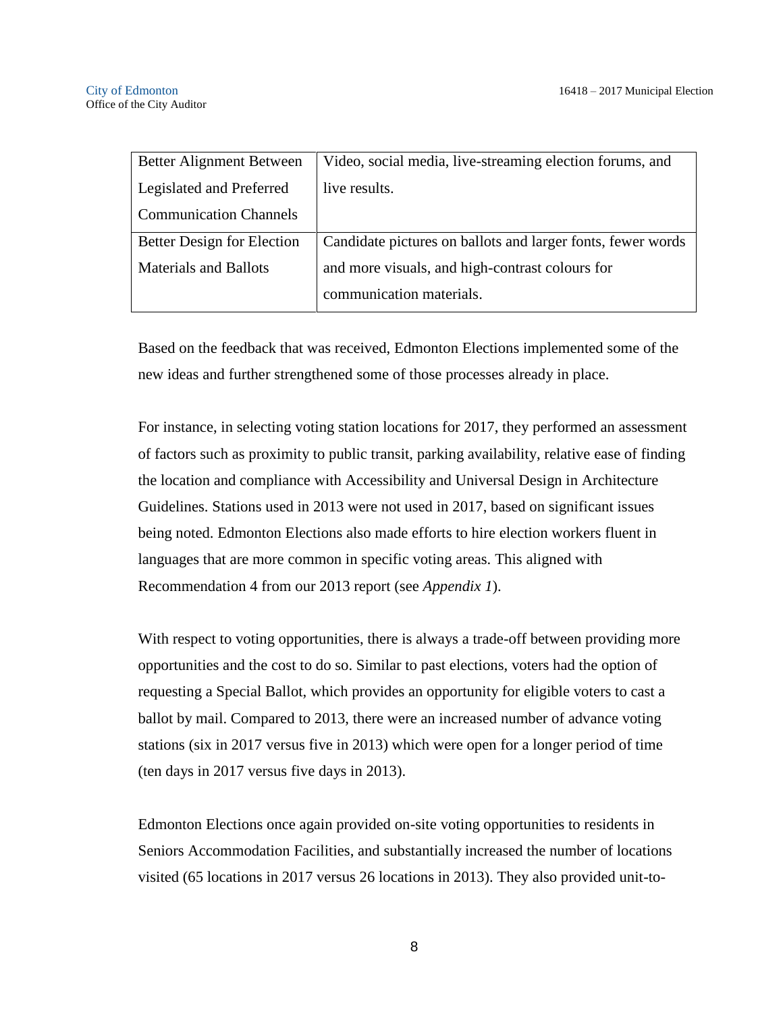| Better Alignment Between          | Video, social media, live-streaming election forums, and    |  |
|-----------------------------------|-------------------------------------------------------------|--|
| Legislated and Preferred          | live results.                                               |  |
| <b>Communication Channels</b>     |                                                             |  |
| <b>Better Design for Election</b> | Candidate pictures on ballots and larger fonts, fewer words |  |
| <b>Materials and Ballots</b>      | and more visuals, and high-contrast colours for             |  |
|                                   | communication materials.                                    |  |

Based on the feedback that was received, Edmonton Elections implemented some of the new ideas and further strengthened some of those processes already in place.

For instance, in selecting voting station locations for 2017, they performed an assessment of factors such as proximity to public transit, parking availability, relative ease of finding the location and compliance with Accessibility and Universal Design in Architecture Guidelines. Stations used in 2013 were not used in 2017, based on significant issues being noted. Edmonton Elections also made efforts to hire election workers fluent in languages that are more common in specific voting areas. This aligned with Recommendation 4 from our 2013 report (see *Appendix 1*).

With respect to voting opportunities, there is always a trade-off between providing more opportunities and the cost to do so. Similar to past elections, voters had the option of requesting a Special Ballot, which provides an opportunity for eligible voters to cast a ballot by mail. Compared to 2013, there were an increased number of advance voting stations (six in 2017 versus five in 2013) which were open for a longer period of time (ten days in 2017 versus five days in 2013).

Edmonton Elections once again provided on-site voting opportunities to residents in Seniors Accommodation Facilities, and substantially increased the number of locations visited (65 locations in 2017 versus 26 locations in 2013). They also provided unit-to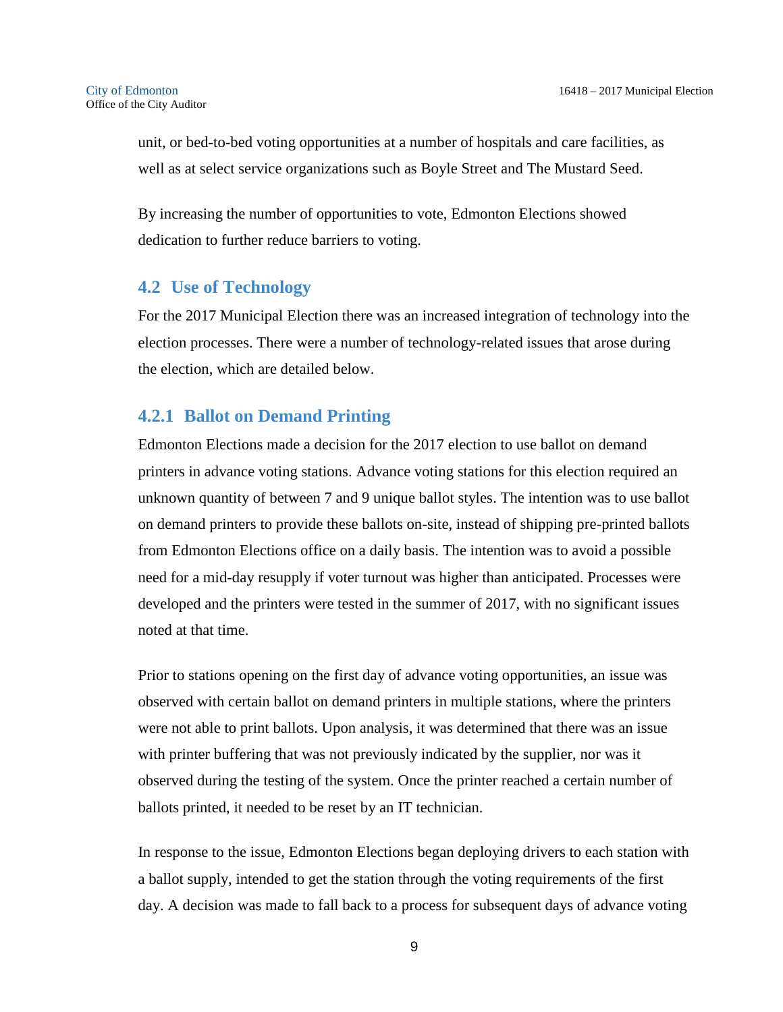unit, or bed-to-bed voting opportunities at a number of hospitals and care facilities, as well as at select service organizations such as Boyle Street and The Mustard Seed.

By increasing the number of opportunities to vote, Edmonton Elections showed dedication to further reduce barriers to voting.

### <span id="page-12-0"></span>**4.2 Use of Technology**

For the 2017 Municipal Election there was an increased integration of technology into the election processes. There were a number of technology-related issues that arose during the election, which are detailed below.

### <span id="page-12-1"></span>**4.2.1 Ballot on Demand Printing**

Edmonton Elections made a decision for the 2017 election to use ballot on demand printers in advance voting stations. Advance voting stations for this election required an unknown quantity of between 7 and 9 unique ballot styles. The intention was to use ballot on demand printers to provide these ballots on-site, instead of shipping pre-printed ballots from Edmonton Elections office on a daily basis. The intention was to avoid a possible need for a mid-day resupply if voter turnout was higher than anticipated. Processes were developed and the printers were tested in the summer of 2017, with no significant issues noted at that time.

Prior to stations opening on the first day of advance voting opportunities, an issue was observed with certain ballot on demand printers in multiple stations, where the printers were not able to print ballots. Upon analysis, it was determined that there was an issue with printer buffering that was not previously indicated by the supplier, nor was it observed during the testing of the system. Once the printer reached a certain number of ballots printed, it needed to be reset by an IT technician.

In response to the issue, Edmonton Elections began deploying drivers to each station with a ballot supply, intended to get the station through the voting requirements of the first day. A decision was made to fall back to a process for subsequent days of advance voting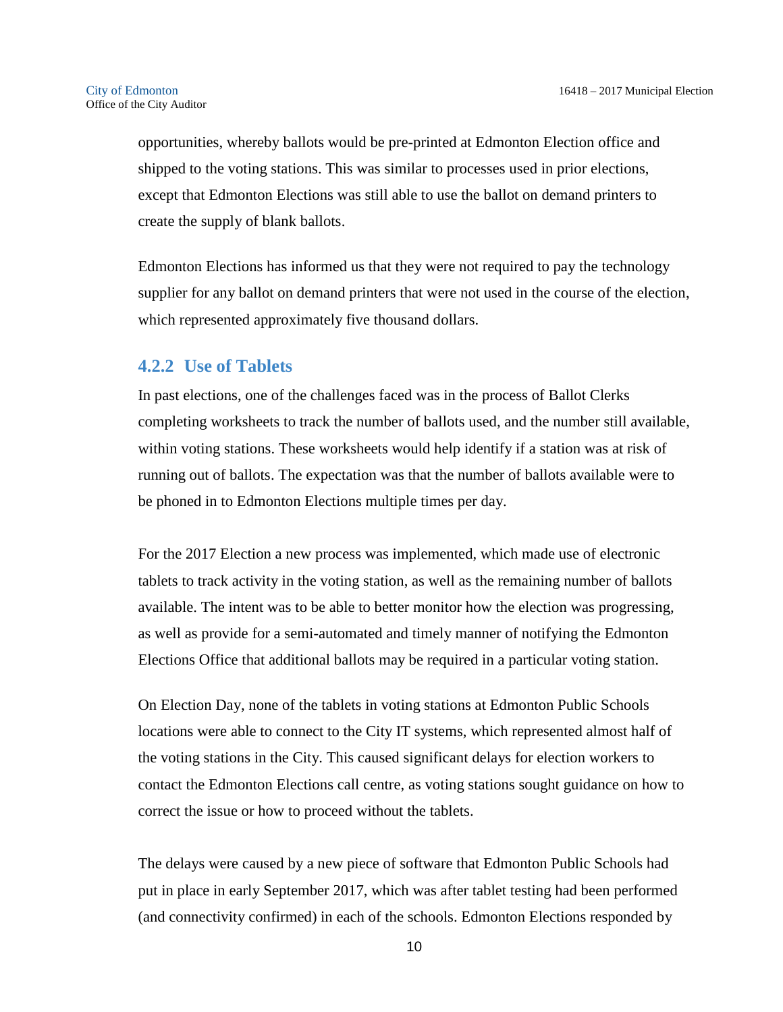opportunities, whereby ballots would be pre-printed at Edmonton Election office and shipped to the voting stations. This was similar to processes used in prior elections, except that Edmonton Elections was still able to use the ballot on demand printers to create the supply of blank ballots.

Edmonton Elections has informed us that they were not required to pay the technology supplier for any ballot on demand printers that were not used in the course of the election, which represented approximately five thousand dollars.

### <span id="page-13-0"></span>**4.2.2 Use of Tablets**

In past elections, one of the challenges faced was in the process of Ballot Clerks completing worksheets to track the number of ballots used, and the number still available, within voting stations. These worksheets would help identify if a station was at risk of running out of ballots. The expectation was that the number of ballots available were to be phoned in to Edmonton Elections multiple times per day.

For the 2017 Election a new process was implemented, which made use of electronic tablets to track activity in the voting station, as well as the remaining number of ballots available. The intent was to be able to better monitor how the election was progressing, as well as provide for a semi-automated and timely manner of notifying the Edmonton Elections Office that additional ballots may be required in a particular voting station.

On Election Day, none of the tablets in voting stations at Edmonton Public Schools locations were able to connect to the City IT systems, which represented almost half of the voting stations in the City. This caused significant delays for election workers to contact the Edmonton Elections call centre, as voting stations sought guidance on how to correct the issue or how to proceed without the tablets.

The delays were caused by a new piece of software that Edmonton Public Schools had put in place in early September 2017, which was after tablet testing had been performed (and connectivity confirmed) in each of the schools. Edmonton Elections responded by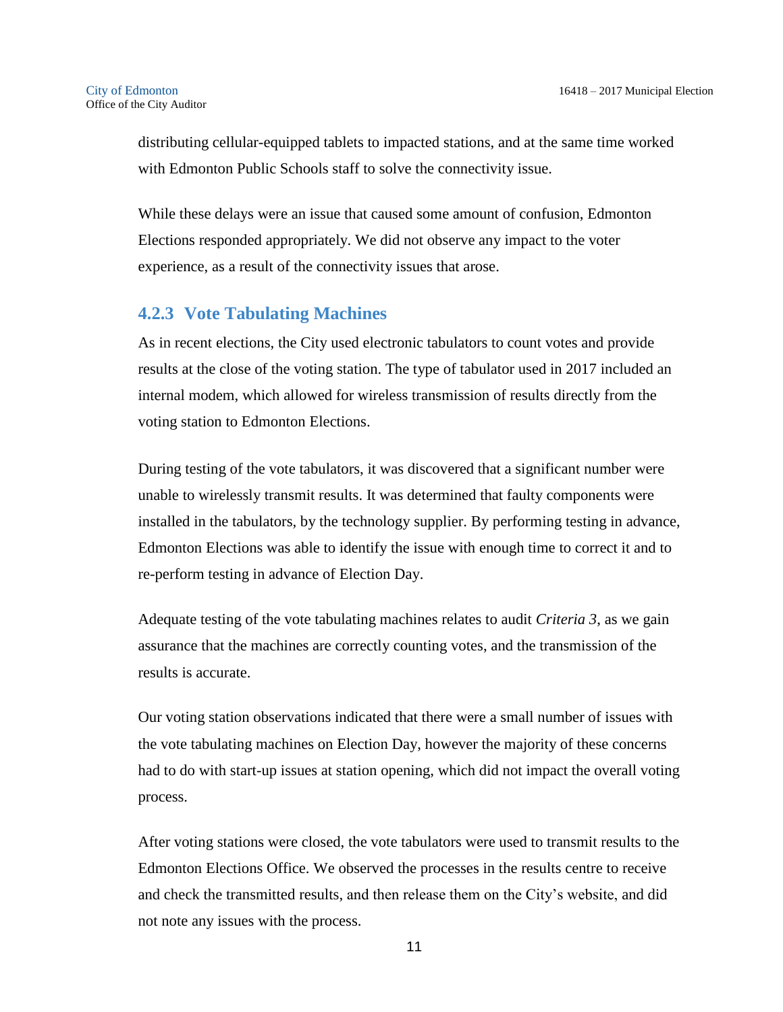distributing cellular-equipped tablets to impacted stations, and at the same time worked with Edmonton Public Schools staff to solve the connectivity issue.

While these delays were an issue that caused some amount of confusion, Edmonton Elections responded appropriately. We did not observe any impact to the voter experience, as a result of the connectivity issues that arose.

### <span id="page-14-0"></span>**4.2.3 Vote Tabulating Machines**

As in recent elections, the City used electronic tabulators to count votes and provide results at the close of the voting station. The type of tabulator used in 2017 included an internal modem, which allowed for wireless transmission of results directly from the voting station to Edmonton Elections.

During testing of the vote tabulators, it was discovered that a significant number were unable to wirelessly transmit results. It was determined that faulty components were installed in the tabulators, by the technology supplier. By performing testing in advance, Edmonton Elections was able to identify the issue with enough time to correct it and to re-perform testing in advance of Election Day.

Adequate testing of the vote tabulating machines relates to audit *Criteria 3*, as we gain assurance that the machines are correctly counting votes, and the transmission of the results is accurate.

Our voting station observations indicated that there were a small number of issues with the vote tabulating machines on Election Day, however the majority of these concerns had to do with start-up issues at station opening, which did not impact the overall voting process.

After voting stations were closed, the vote tabulators were used to transmit results to the Edmonton Elections Office. We observed the processes in the results centre to receive and check the transmitted results, and then release them on the City's website, and did not note any issues with the process.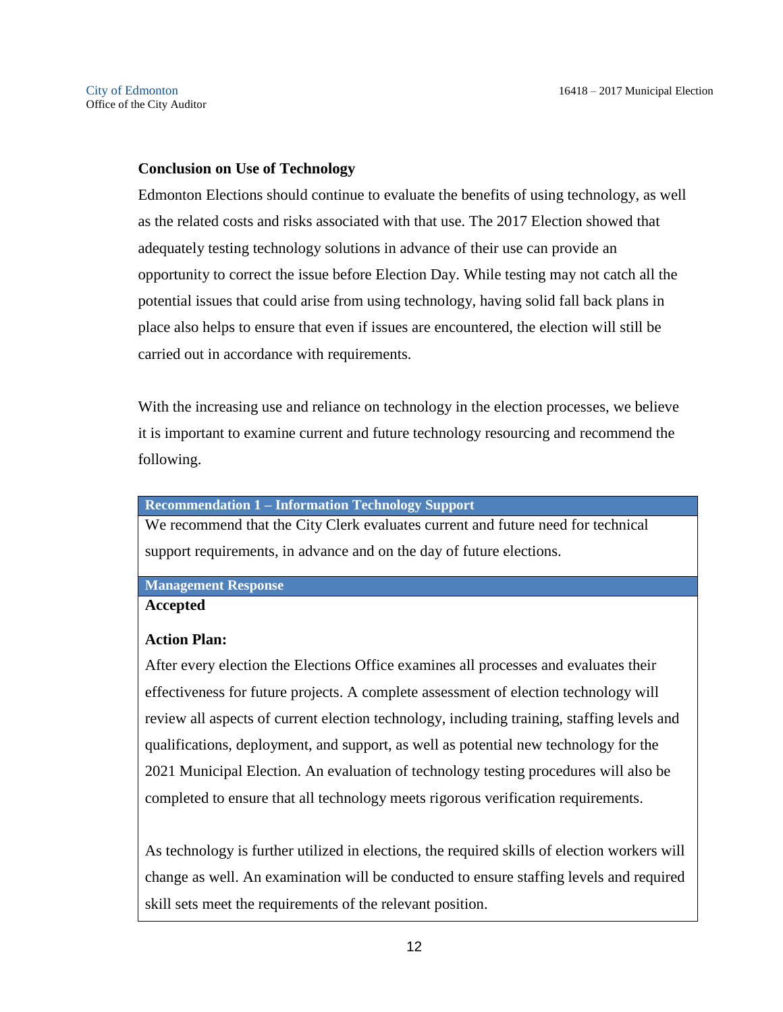### **Conclusion on Use of Technology**

Edmonton Elections should continue to evaluate the benefits of using technology, as well as the related costs and risks associated with that use. The 2017 Election showed that adequately testing technology solutions in advance of their use can provide an opportunity to correct the issue before Election Day. While testing may not catch all the potential issues that could arise from using technology, having solid fall back plans in place also helps to ensure that even if issues are encountered, the election will still be carried out in accordance with requirements.

With the increasing use and reliance on technology in the election processes, we believe it is important to examine current and future technology resourcing and recommend the following.

#### **Recommendation 1 – Information Technology Support**

We recommend that the City Clerk evaluates current and future need for technical support requirements, in advance and on the day of future elections.

# **Management Response**

### **Accepted**

### **Action Plan:**

After every election the Elections Office examines all processes and evaluates their effectiveness for future projects. A complete assessment of election technology will review all aspects of current election technology, including training, staffing levels and qualifications, deployment, and support, as well as potential new technology for the 2021 Municipal Election. An evaluation of technology testing procedures will also be completed to ensure that all technology meets rigorous verification requirements.

As technology is further utilized in elections, the required skills of election workers will change as well. An examination will be conducted to ensure staffing levels and required skill sets meet the requirements of the relevant position.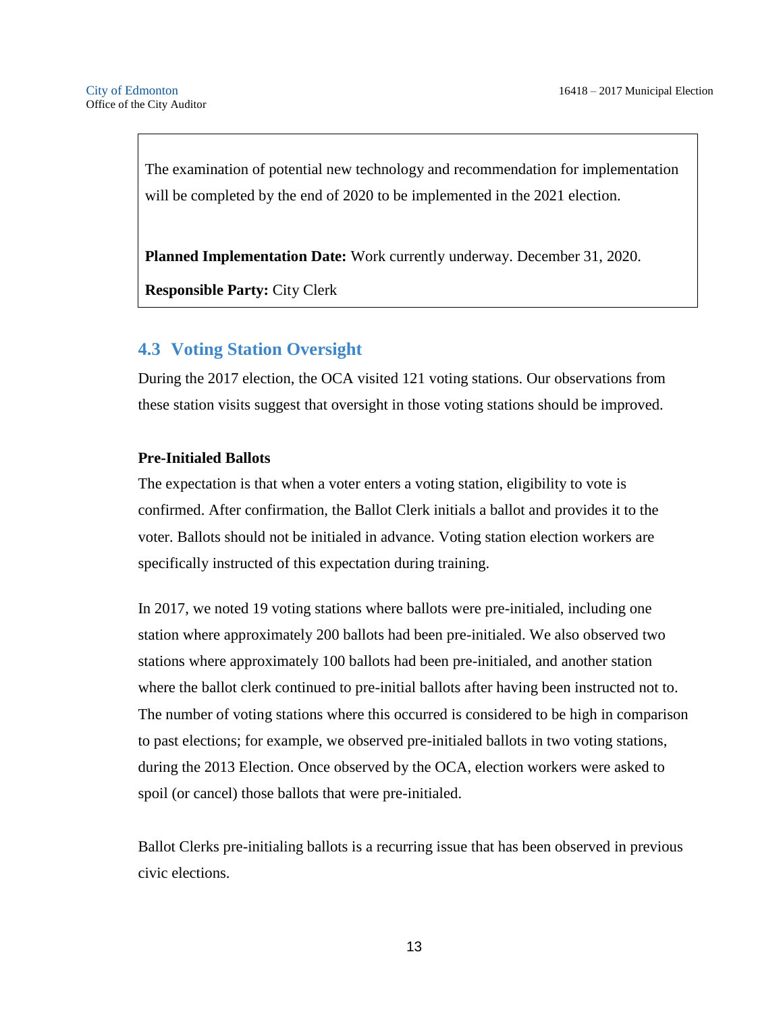The examination of potential new technology and recommendation for implementation will be completed by the end of 2020 to be implemented in the 2021 election.

**Planned Implementation Date:** Work currently underway. December 31, 2020.

**Responsible Party:** City Clerk

# <span id="page-16-0"></span>**4.3 Voting Station Oversight**

During the 2017 election, the OCA visited 121 voting stations. Our observations from these station visits suggest that oversight in those voting stations should be improved.

### **Pre-Initialed Ballots**

The expectation is that when a voter enters a voting station, eligibility to vote is confirmed. After confirmation, the Ballot Clerk initials a ballot and provides it to the voter. Ballots should not be initialed in advance. Voting station election workers are specifically instructed of this expectation during training.

In 2017, we noted 19 voting stations where ballots were pre-initialed, including one station where approximately 200 ballots had been pre-initialed. We also observed two stations where approximately 100 ballots had been pre-initialed, and another station where the ballot clerk continued to pre-initial ballots after having been instructed not to. The number of voting stations where this occurred is considered to be high in comparison to past elections; for example, we observed pre-initialed ballots in two voting stations, during the 2013 Election. Once observed by the OCA, election workers were asked to spoil (or cancel) those ballots that were pre-initialed.

Ballot Clerks pre-initialing ballots is a recurring issue that has been observed in previous civic elections.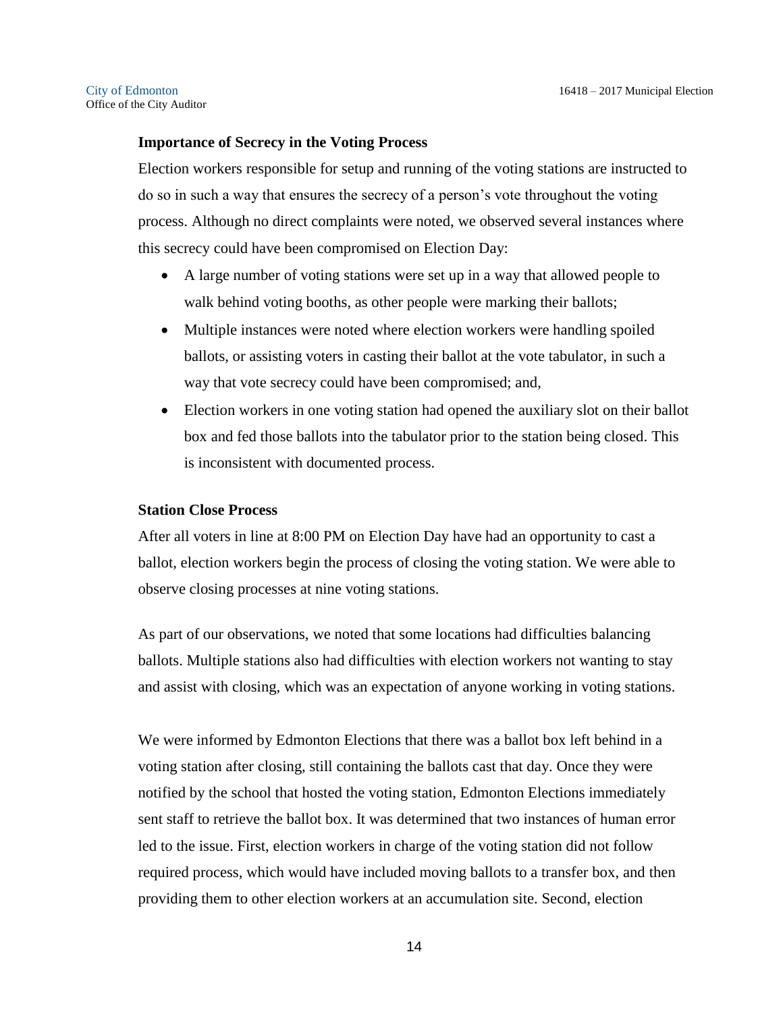### **Importance of Secrecy in the Voting Process**

Election workers responsible for setup and running of the voting stations are instructed to do so in such a way that ensures the secrecy of a person's vote throughout the voting process. Although no direct complaints were noted, we observed several instances where this secrecy could have been compromised on Election Day:

- A large number of voting stations were set up in a way that allowed people to walk behind voting booths, as other people were marking their ballots;
- Multiple instances were noted where election workers were handling spoiled ballots, or assisting voters in casting their ballot at the vote tabulator, in such a way that vote secrecy could have been compromised; and,
- Election workers in one voting station had opened the auxiliary slot on their ballot box and fed those ballots into the tabulator prior to the station being closed. This is inconsistent with documented process.

### **Station Close Process**

After all voters in line at 8:00 PM on Election Day have had an opportunity to cast a ballot, election workers begin the process of closing the voting station. We were able to observe closing processes at nine voting stations.

As part of our observations, we noted that some locations had difficulties balancing ballots. Multiple stations also had difficulties with election workers not wanting to stay and assist with closing, which was an expectation of anyone working in voting stations.

We were informed by Edmonton Elections that there was a ballot box left behind in a voting station after closing, still containing the ballots cast that day. Once they were notified by the school that hosted the voting station, Edmonton Elections immediately sent staff to retrieve the ballot box. It was determined that two instances of human error led to the issue. First, election workers in charge of the voting station did not follow required process, which would have included moving ballots to a transfer box, and then providing them to other election workers at an accumulation site. Second, election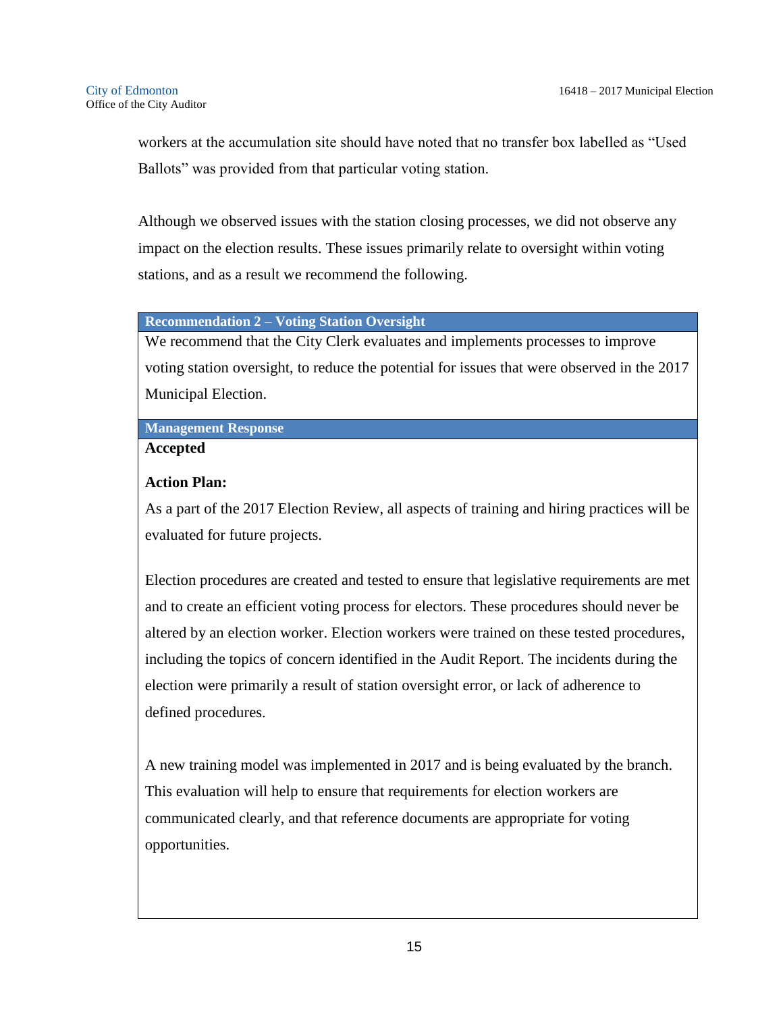workers at the accumulation site should have noted that no transfer box labelled as "Used Ballots" was provided from that particular voting station.

Although we observed issues with the station closing processes, we did not observe any impact on the election results. These issues primarily relate to oversight within voting stations, and as a result we recommend the following.

#### **Recommendation 2 – Voting Station Oversight**

We recommend that the City Clerk evaluates and implements processes to improve voting station oversight, to reduce the potential for issues that were observed in the 2017 Municipal Election.

### **Management Response**

#### **Accepted**

#### **Action Plan:**

As a part of the 2017 Election Review, all aspects of training and hiring practices will be evaluated for future projects.

Election procedures are created and tested to ensure that legislative requirements are met and to create an efficient voting process for electors. These procedures should never be altered by an election worker. Election workers were trained on these tested procedures, including the topics of concern identified in the Audit Report. The incidents during the election were primarily a result of station oversight error, or lack of adherence to defined procedures.

A new training model was implemented in 2017 and is being evaluated by the branch. This evaluation will help to ensure that requirements for election workers are communicated clearly, and that reference documents are appropriate for voting opportunities.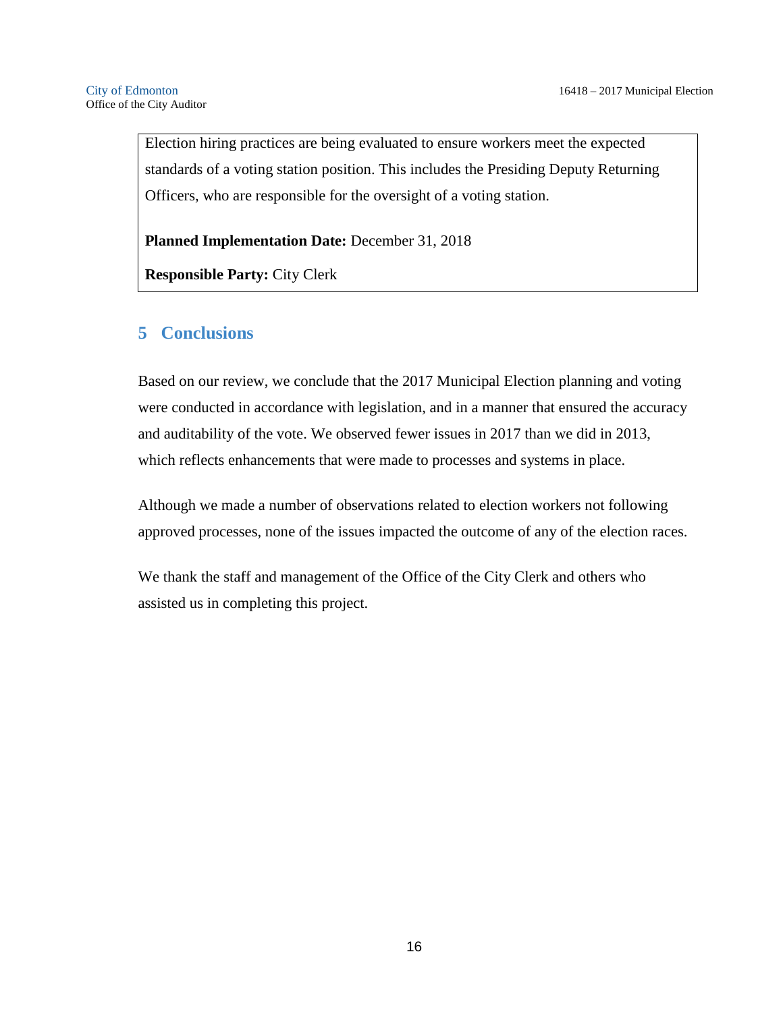Election hiring practices are being evaluated to ensure workers meet the expected standards of a voting station position. This includes the Presiding Deputy Returning Officers, who are responsible for the oversight of a voting station.

**Planned Implementation Date:** December 31, 2018

<span id="page-19-0"></span>**Responsible Party:** City Clerk

# **5 Conclusions**

Based on our review, we conclude that the 2017 Municipal Election planning and voting were conducted in accordance with legislation, and in a manner that ensured the accuracy and auditability of the vote. We observed fewer issues in 2017 than we did in 2013, which reflects enhancements that were made to processes and systems in place.

Although we made a number of observations related to election workers not following approved processes, none of the issues impacted the outcome of any of the election races.

We thank the staff and management of the Office of the City Clerk and others who assisted us in completing this project.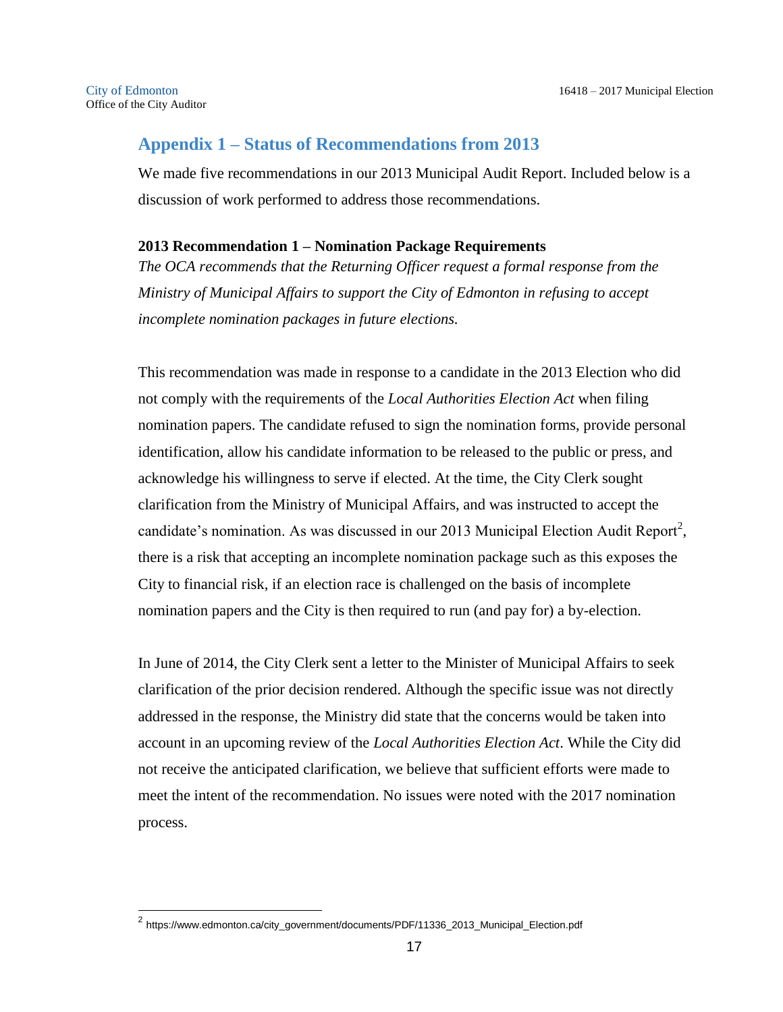### <span id="page-20-0"></span>**Appendix 1 – Status of Recommendations from 2013**

We made five recommendations in our 2013 Municipal Audit Report. Included below is a discussion of work performed to address those recommendations.

### **2013 Recommendation 1 – Nomination Package Requirements**

*The OCA recommends that the Returning Officer request a formal response from the Ministry of Municipal Affairs to support the City of Edmonton in refusing to accept incomplete nomination packages in future elections.*

This recommendation was made in response to a candidate in the 2013 Election who did not comply with the requirements of the *Local Authorities Election Act* when filing nomination papers. The candidate refused to sign the nomination forms, provide personal identification, allow his candidate information to be released to the public or press, and acknowledge his willingness to serve if elected. At the time, the City Clerk sought clarification from the Ministry of Municipal Affairs, and was instructed to accept the candidate's nomination. As was discussed in our 2013 Municipal Election Audit Report<sup>2</sup>, there is a risk that accepting an incomplete nomination package such as this exposes the City to financial risk, if an election race is challenged on the basis of incomplete nomination papers and the City is then required to run (and pay for) a by-election.

In June of 2014, the City Clerk sent a letter to the Minister of Municipal Affairs to seek clarification of the prior decision rendered. Although the specific issue was not directly addressed in the response, the Ministry did state that the concerns would be taken into account in an upcoming review of the *Local Authorities Election Act*. While the City did not receive the anticipated clarification, we believe that sufficient efforts were made to meet the intent of the recommendation. No issues were noted with the 2017 nomination process.

 2 https://www.edmonton.ca/city\_government/documents/PDF/11336\_2013\_Municipal\_Election.pdf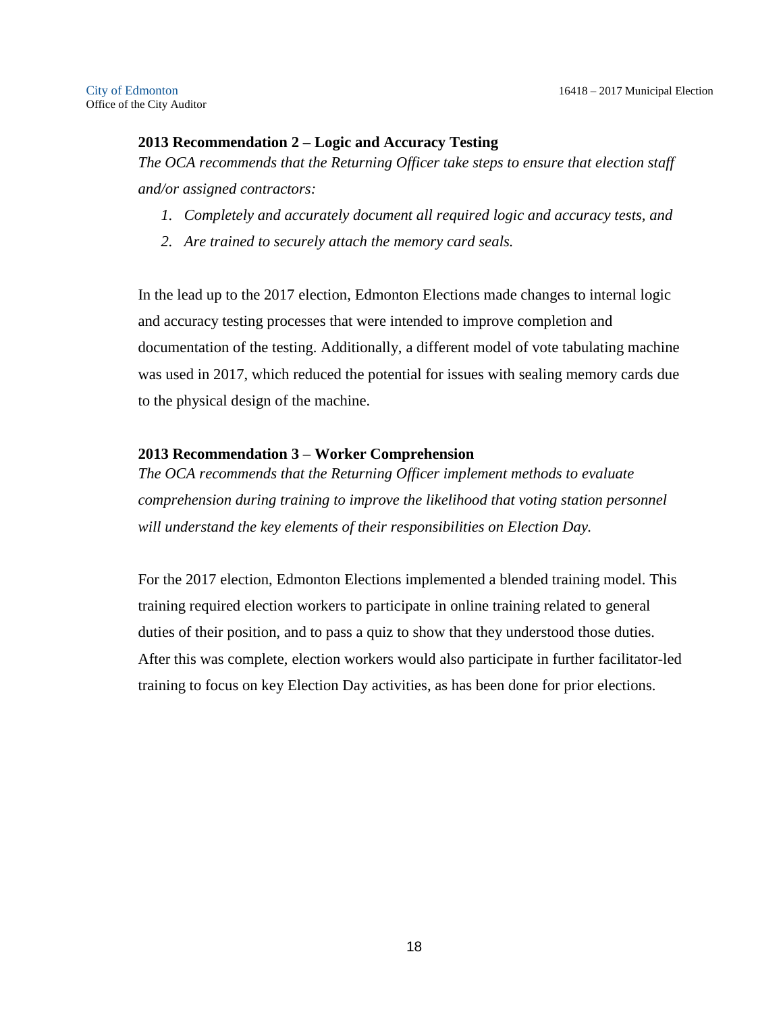#### **2013 Recommendation 2 – Logic and Accuracy Testing**

*The OCA recommends that the Returning Officer take steps to ensure that election staff and/or assigned contractors:*

- *1. Completely and accurately document all required logic and accuracy tests, and*
- *2. Are trained to securely attach the memory card seals.*

In the lead up to the 2017 election, Edmonton Elections made changes to internal logic and accuracy testing processes that were intended to improve completion and documentation of the testing. Additionally, a different model of vote tabulating machine was used in 2017, which reduced the potential for issues with sealing memory cards due to the physical design of the machine.

### **2013 Recommendation 3 – Worker Comprehension**

*The OCA recommends that the Returning Officer implement methods to evaluate comprehension during training to improve the likelihood that voting station personnel will understand the key elements of their responsibilities on Election Day.*

For the 2017 election, Edmonton Elections implemented a blended training model. This training required election workers to participate in online training related to general duties of their position, and to pass a quiz to show that they understood those duties. After this was complete, election workers would also participate in further facilitator-led training to focus on key Election Day activities, as has been done for prior elections.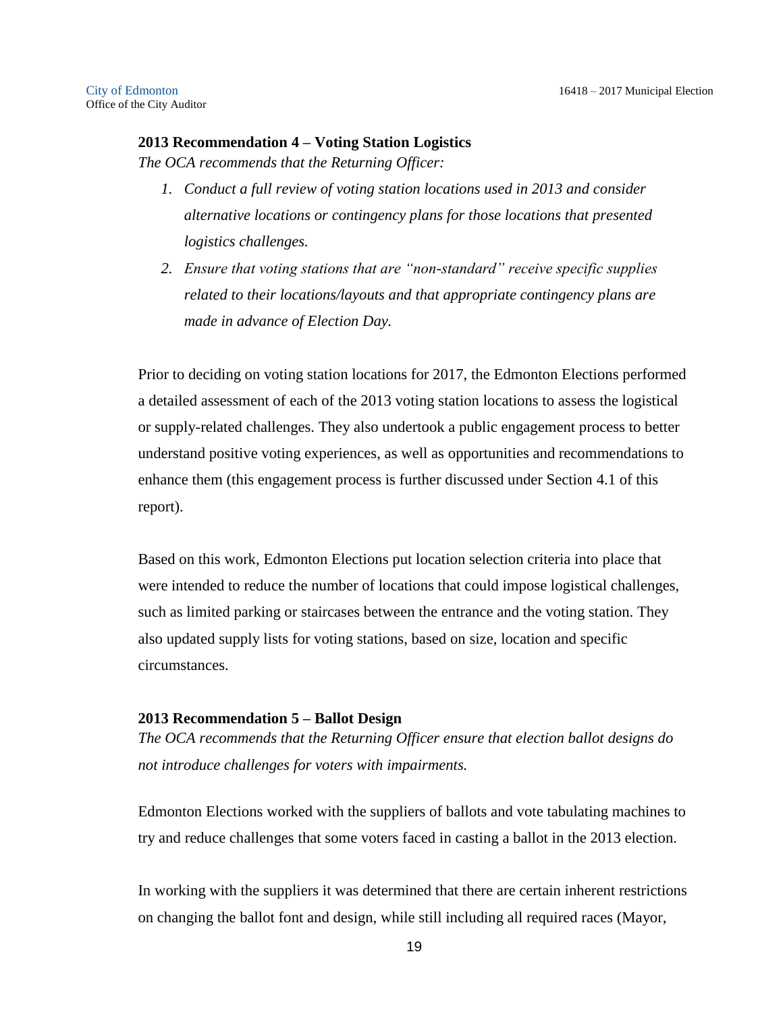#### **2013 Recommendation 4 – Voting Station Logistics**

*The OCA recommends that the Returning Officer:*

- *1. Conduct a full review of voting station locations used in 2013 and consider alternative locations or contingency plans for those locations that presented logistics challenges.*
- *2. Ensure that voting stations that are "non-standard" receive specific supplies related to their locations/layouts and that appropriate contingency plans are made in advance of Election Day.*

Prior to deciding on voting station locations for 2017, the Edmonton Elections performed a detailed assessment of each of the 2013 voting station locations to assess the logistical or supply-related challenges. They also undertook a public engagement process to better understand positive voting experiences, as well as opportunities and recommendations to enhance them (this engagement process is further discussed under Section 4.1 of this report).

Based on this work, Edmonton Elections put location selection criteria into place that were intended to reduce the number of locations that could impose logistical challenges, such as limited parking or staircases between the entrance and the voting station. They also updated supply lists for voting stations, based on size, location and specific circumstances.

#### **2013 Recommendation 5 – Ballot Design**

*The OCA recommends that the Returning Officer ensure that election ballot designs do not introduce challenges for voters with impairments.*

Edmonton Elections worked with the suppliers of ballots and vote tabulating machines to try and reduce challenges that some voters faced in casting a ballot in the 2013 election.

In working with the suppliers it was determined that there are certain inherent restrictions on changing the ballot font and design, while still including all required races (Mayor,